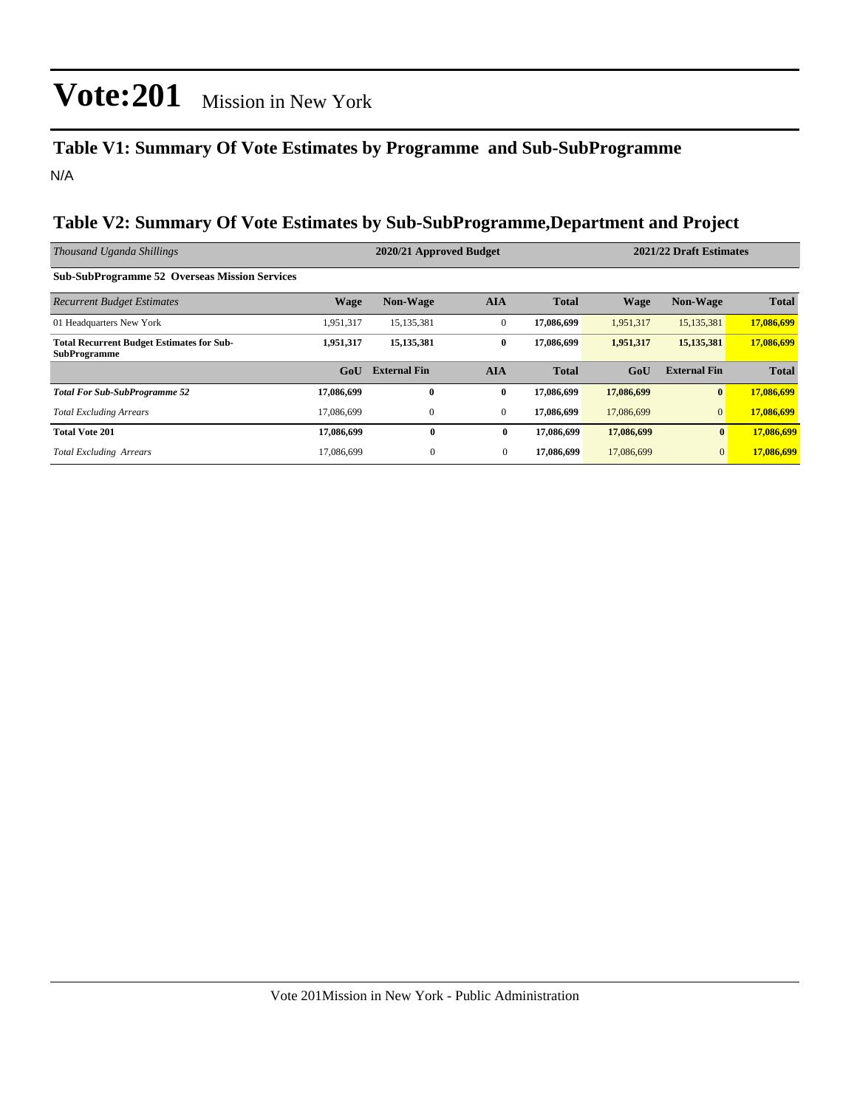### **Table V1: Summary Of Vote Estimates by Programme and Sub-SubProgramme** N/A

#### **Table V2: Summary Of Vote Estimates by Sub-SubProgramme,Department and Project**

| Thousand Uganda Shillings                                               |                  | 2020/21 Approved Budget |                | 2021/22 Draft Estimates |             |                     |              |
|-------------------------------------------------------------------------|------------------|-------------------------|----------------|-------------------------|-------------|---------------------|--------------|
| <b>Sub-SubProgramme 52 Overseas Mission Services</b>                    |                  |                         |                |                         |             |                     |              |
| <b>Recurrent Budget Estimates</b>                                       | <b>Wage</b>      | <b>Non-Wage</b>         | <b>AIA</b>     | <b>Total</b>            | <b>Wage</b> | <b>Non-Wage</b>     | <b>Total</b> |
| 01 Headquarters New York                                                | 1,951,317        | 15, 135, 381            | $\mathbf{0}$   | 17,086,699              | 1,951,317   | 15, 135, 381        | 17,086,699   |
| <b>Total Recurrent Budget Estimates for Sub-</b><br><b>SubProgramme</b> | 1,951,317        | 15, 135, 381            | $\bf{0}$       | 17,086,699              | 1,951,317   | 15, 135, 381        | 17,086,699   |
|                                                                         | G <sub>o</sub> U | <b>External Fin</b>     | <b>AIA</b>     | <b>Total</b>            | GoU         | <b>External Fin</b> | <b>Total</b> |
| <b>Total For Sub-SubProgramme 52</b>                                    | 17,086,699       | $\mathbf{0}$            | $\bf{0}$       | 17,086,699              | 17,086,699  | $\mathbf{0}$        | 17,086,699   |
| <b>Total Excluding Arrears</b>                                          | 17.086.699       | $\mathbf{0}$            | $\mathbf{0}$   | 17,086,699              | 17,086,699  | $\overline{0}$      | 17,086,699   |
| <b>Total Vote 201</b>                                                   | 17,086,699       | $\bf{0}$                | $\bf{0}$       | 17,086,699              | 17,086,699  | $\bf{0}$            | 17,086,699   |
| <b>Total Excluding Arrears</b>                                          | 17,086,699       | $\mathbf{0}$            | $\overline{0}$ | 17,086,699              | 17,086,699  | $\mathbf{0}$        | 17,086,699   |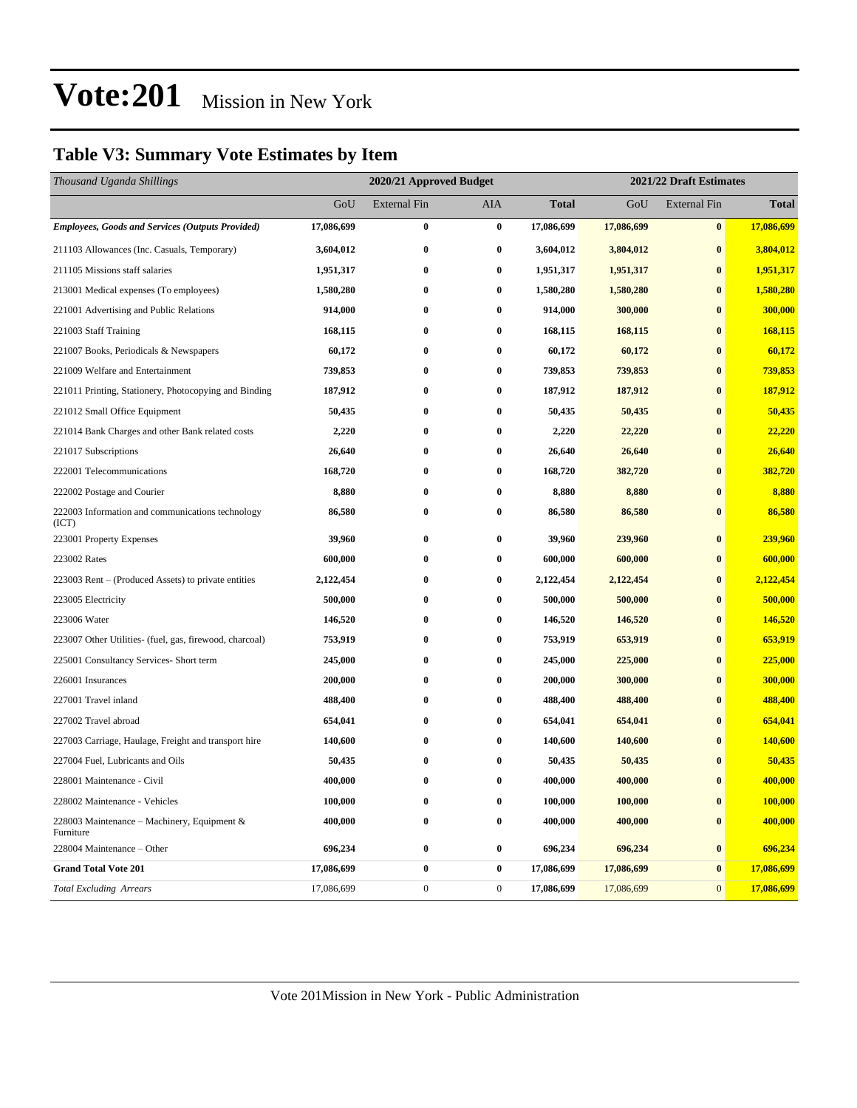### **Table V3: Summary Vote Estimates by Item**

| Thousand Uganda Shillings                                 | 2020/21 Approved Budget |                     |                  |              |            | 2021/22 Draft Estimates |              |  |
|-----------------------------------------------------------|-------------------------|---------------------|------------------|--------------|------------|-------------------------|--------------|--|
|                                                           | GoU                     | <b>External Fin</b> | <b>AIA</b>       | <b>Total</b> | GoU        | <b>External Fin</b>     | <b>Total</b> |  |
| <b>Employees, Goods and Services (Outputs Provided)</b>   | 17,086,699              | $\bf{0}$            | $\bf{0}$         | 17,086,699   | 17,086,699 | $\bf{0}$                | 17,086,699   |  |
| 211103 Allowances (Inc. Casuals, Temporary)               | 3,604,012               | $\boldsymbol{0}$    | $\bf{0}$         | 3,604,012    | 3,804,012  | $\bf{0}$                | 3,804,012    |  |
| 211105 Missions staff salaries                            | 1,951,317               | 0                   | 0                | 1,951,317    | 1,951,317  | $\bf{0}$                | 1,951,317    |  |
| 213001 Medical expenses (To employees)                    | 1,580,280               | $\bf{0}$            | $\bf{0}$         | 1,580,280    | 1,580,280  | $\bf{0}$                | 1,580,280    |  |
| 221001 Advertising and Public Relations                   | 914,000                 | $\bf{0}$            | $\bf{0}$         | 914,000      | 300,000    | $\bf{0}$                | 300,000      |  |
| 221003 Staff Training                                     | 168,115                 | $\bf{0}$            | $\bf{0}$         | 168,115      | 168,115    | $\bf{0}$                | 168,115      |  |
| 221007 Books, Periodicals & Newspapers                    | 60,172                  | $\bf{0}$            | 0                | 60,172       | 60,172     | $\bf{0}$                | 60,172       |  |
| 221009 Welfare and Entertainment                          | 739,853                 | $\bf{0}$            | 0                | 739,853      | 739,853    | $\bf{0}$                | 739,853      |  |
| 221011 Printing, Stationery, Photocopying and Binding     | 187,912                 | $\bf{0}$            | $\bf{0}$         | 187,912      | 187,912    | $\bf{0}$                | 187,912      |  |
| 221012 Small Office Equipment                             | 50,435                  | 0                   | $\bf{0}$         | 50,435       | 50,435     | $\bf{0}$                | 50,435       |  |
| 221014 Bank Charges and other Bank related costs          | 2,220                   | $\bf{0}$            | $\bf{0}$         | 2,220        | 22,220     | $\bf{0}$                | 22,220       |  |
| 221017 Subscriptions                                      | 26,640                  | $\bf{0}$            | $\bf{0}$         | 26,640       | 26,640     | $\bf{0}$                | 26,640       |  |
| 222001 Telecommunications                                 | 168,720                 | $\bf{0}$            | $\bf{0}$         | 168,720      | 382,720    | $\bf{0}$                | 382,720      |  |
| 222002 Postage and Courier                                | 8,880                   | $\bf{0}$            | $\bf{0}$         | 8,880        | 8,880      | $\bf{0}$                | 8,880        |  |
| 222003 Information and communications technology<br>(ICT) | 86,580                  | $\bf{0}$            | $\bf{0}$         | 86,580       | 86,580     | $\bf{0}$                | 86,580       |  |
| 223001 Property Expenses                                  | 39,960                  | $\bf{0}$            | 0                | 39,960       | 239,960    | $\bf{0}$                | 239,960      |  |
| 223002 Rates                                              | 600,000                 | $\boldsymbol{0}$    | $\bf{0}$         | 600,000      | 600,000    | $\boldsymbol{0}$        | 600,000      |  |
| 223003 Rent - (Produced Assets) to private entities       | 2,122,454               | 0                   | $\bf{0}$         | 2,122,454    | 2,122,454  | $\bf{0}$                | 2,122,454    |  |
| 223005 Electricity                                        | 500,000                 | $\bf{0}$            | $\bf{0}$         | 500,000      | 500,000    | $\bf{0}$                | 500,000      |  |
| 223006 Water                                              | 146,520                 | $\bf{0}$            | 0                | 146,520      | 146,520    | $\bf{0}$                | 146,520      |  |
| 223007 Other Utilities- (fuel, gas, firewood, charcoal)   | 753,919                 | $\bf{0}$            | $\bf{0}$         | 753,919      | 653,919    | $\bf{0}$                | 653,919      |  |
| 225001 Consultancy Services- Short term                   | 245,000                 | $\bf{0}$            | $\bf{0}$         | 245,000      | 225,000    | $\bf{0}$                | 225,000      |  |
| 226001 Insurances                                         | 200,000                 | 0                   | $\bf{0}$         | 200,000      | 300,000    | $\bf{0}$                | 300,000      |  |
| 227001 Travel inland                                      | 488,400                 | $\bf{0}$            | 0                | 488,400      | 488,400    | $\bf{0}$                | 488,400      |  |
| 227002 Travel abroad                                      | 654,041                 | $\bf{0}$            | $\bf{0}$         | 654,041      | 654,041    | $\bf{0}$                | 654,041      |  |
| 227003 Carriage, Haulage, Freight and transport hire      | 140,600                 | 0                   | $\bf{0}$         | 140,600      | 140,600    | $\bf{0}$                | 140,600      |  |
| 227004 Fuel, Lubricants and Oils                          | 50,435                  | $\bf{0}$            | $\bf{0}$         | 50,435       | 50,435     | $\bf{0}$                | 50,435       |  |
| 228001 Maintenance - Civil                                | 400,000                 | $\bf{0}$            | 0                | 400,000      | 400,000    | $\bf{0}$                | 400,000      |  |
| 228002 Maintenance - Vehicles                             | 100,000                 | $\bf{0}$            | $\bf{0}$         | 100,000      | 100,000    | $\bf{0}$                | 100,000      |  |
| 228003 Maintenance - Machinery, Equipment &<br>Furniture  | 400,000                 | $\boldsymbol{0}$    | $\bf{0}$         | 400,000      | 400,000    | $\bf{0}$                | 400,000      |  |
| 228004 Maintenance - Other                                | 696,234                 | $\bf{0}$            | 0                | 696,234      | 696,234    | $\bf{0}$                | 696,234      |  |
| <b>Grand Total Vote 201</b>                               | 17,086,699              | $\bf{0}$            | $\bf{0}$         | 17,086,699   | 17,086,699 | $\bf{0}$                | 17,086,699   |  |
| <b>Total Excluding Arrears</b>                            | 17,086,699              | $\boldsymbol{0}$    | $\boldsymbol{0}$ | 17,086,699   | 17,086,699 | $\mathbf{0}$            | 17,086,699   |  |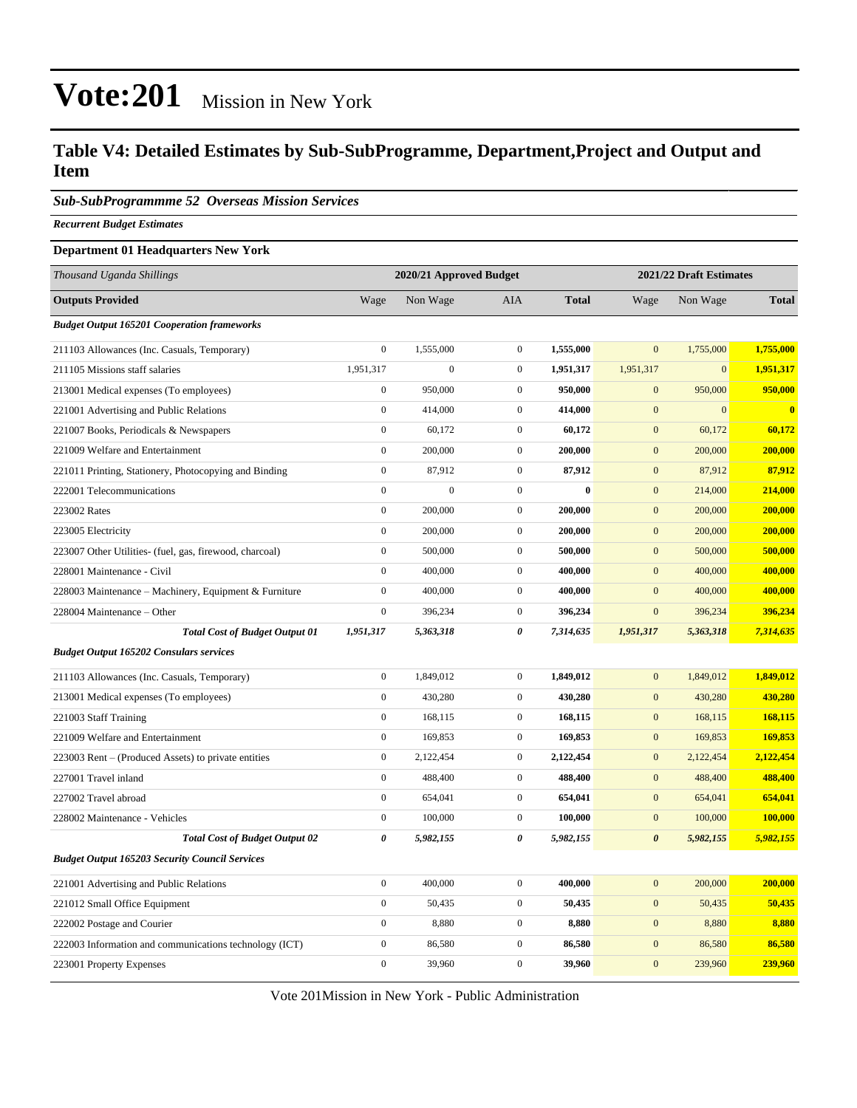#### **Table V4: Detailed Estimates by Sub-SubProgramme, Department,Project and Output and Item**

#### *Sub-SubProgrammme 52 Overseas Mission Services*

*Recurrent Budget Estimates*

#### **Department 01 Headquarters New York**

| Thousand Uganda Shillings                               |                       | 2020/21 Approved Budget |                  | 2021/22 Draft Estimates |                       |                |              |
|---------------------------------------------------------|-----------------------|-------------------------|------------------|-------------------------|-----------------------|----------------|--------------|
| <b>Outputs Provided</b>                                 | Wage                  | Non Wage                | <b>AIA</b>       | <b>Total</b>            | Wage                  | Non Wage       | <b>Total</b> |
| <b>Budget Output 165201 Cooperation frameworks</b>      |                       |                         |                  |                         |                       |                |              |
| 211103 Allowances (Inc. Casuals, Temporary)             | $\mathbf{0}$          | 1,555,000               | $\mathbf{0}$     | 1,555,000               | $\mathbf{0}$          | 1,755,000      | 1,755,000    |
| 211105 Missions staff salaries                          | 1,951,317             | $\boldsymbol{0}$        | $\boldsymbol{0}$ | 1,951,317               | 1,951,317             | $\overline{0}$ | 1,951,317    |
| 213001 Medical expenses (To employees)                  | $\boldsymbol{0}$      | 950,000                 | $\mathbf{0}$     | 950,000                 | $\mathbf{0}$          | 950,000        | 950,000      |
| 221001 Advertising and Public Relations                 | $\boldsymbol{0}$      | 414,000                 | $\boldsymbol{0}$ | 414,000                 | $\boldsymbol{0}$      | $\Omega$       | $\bf{0}$     |
| 221007 Books, Periodicals & Newspapers                  | $\boldsymbol{0}$      | 60,172                  | $\mathbf{0}$     | 60,172                  | $\mathbf{0}$          | 60,172         | 60,172       |
| 221009 Welfare and Entertainment                        | $\boldsymbol{0}$      | 200,000                 | $\mathbf{0}$     | 200,000                 | $\mathbf{0}$          | 200,000        | 200,000      |
| 221011 Printing, Stationery, Photocopying and Binding   | $\boldsymbol{0}$      | 87,912                  | $\boldsymbol{0}$ | 87,912                  | $\boldsymbol{0}$      | 87,912         | 87,912       |
| 222001 Telecommunications                               | $\mathbf{0}$          | $\boldsymbol{0}$        | $\mathbf{0}$     | $\bf{0}$                | $\mathbf{0}$          | 214,000        | 214,000      |
| 223002 Rates                                            | $\boldsymbol{0}$      | 200,000                 | $\mathbf{0}$     | 200,000                 | $\mathbf{0}$          | 200,000        | 200,000      |
| 223005 Electricity                                      | $\boldsymbol{0}$      | 200,000                 | $\boldsymbol{0}$ | 200,000                 | $\boldsymbol{0}$      | 200,000        | 200,000      |
| 223007 Other Utilities- (fuel, gas, firewood, charcoal) | $\boldsymbol{0}$      | 500,000                 | $\boldsymbol{0}$ | 500,000                 | $\boldsymbol{0}$      | 500,000        | 500,000      |
| 228001 Maintenance - Civil                              | $\boldsymbol{0}$      | 400,000                 | $\mathbf{0}$     | 400,000                 | $\mathbf{0}$          | 400,000        | 400,000      |
| 228003 Maintenance - Machinery, Equipment & Furniture   | $\boldsymbol{0}$      | 400,000                 | $\mathbf{0}$     | 400,000                 | $\mathbf{0}$          | 400,000        | 400,000      |
| 228004 Maintenance - Other                              | $\boldsymbol{0}$      | 396,234                 | $\mathbf{0}$     | 396,234                 | $\mathbf{0}$          | 396,234        | 396,234      |
| <b>Total Cost of Budget Output 01</b>                   | 1,951,317             | 5,363,318               | 0                | 7,314,635               | 1,951,317             | 5,363,318      | 7,314,635    |
| <b>Budget Output 165202 Consulars services</b>          |                       |                         |                  |                         |                       |                |              |
| 211103 Allowances (Inc. Casuals, Temporary)             | $\boldsymbol{0}$      | 1,849,012               | $\mathbf{0}$     | 1,849,012               | $\overline{0}$        | 1,849,012      | 1,849,012    |
| 213001 Medical expenses (To employees)                  | $\boldsymbol{0}$      | 430,280                 | $\mathbf{0}$     | 430,280                 | $\mathbf{0}$          | 430,280        | 430,280      |
| 221003 Staff Training                                   | $\boldsymbol{0}$      | 168,115                 | $\mathbf{0}$     | 168,115                 | $\boldsymbol{0}$      | 168,115        | 168,115      |
| 221009 Welfare and Entertainment                        | $\mathbf{0}$          | 169,853                 | $\boldsymbol{0}$ | 169,853                 | $\boldsymbol{0}$      | 169,853        | 169,853      |
| 223003 Rent – (Produced Assets) to private entities     | $\boldsymbol{0}$      | 2,122,454               | $\mathbf{0}$     | 2,122,454               | $\mathbf{0}$          | 2,122,454      | 2,122,454    |
| 227001 Travel inland                                    | $\boldsymbol{0}$      | 488,400                 | $\mathbf{0}$     | 488,400                 | $\mathbf{0}$          | 488,400        | 488,400      |
| 227002 Travel abroad                                    | $\boldsymbol{0}$      | 654,041                 | $\boldsymbol{0}$ | 654,041                 | $\boldsymbol{0}$      | 654,041        | 654,041      |
| 228002 Maintenance - Vehicles                           | $\boldsymbol{0}$      | 100,000                 | $\mathbf{0}$     | 100,000                 | $\mathbf{0}$          | 100,000        | 100,000      |
| <b>Total Cost of Budget Output 02</b>                   | $\boldsymbol{\theta}$ | 5,982,155               | 0                | 5,982,155               | $\boldsymbol{\theta}$ | 5,982,155      | 5,982,155    |
| <b>Budget Output 165203 Security Council Services</b>   |                       |                         |                  |                         |                       |                |              |
| 221001 Advertising and Public Relations                 | $\boldsymbol{0}$      | 400,000                 | $\mathbf{0}$     | 400,000                 | $\mathbf{0}$          | 200,000        | 200,000      |
| 221012 Small Office Equipment                           | $\boldsymbol{0}$      | 50,435                  | $\boldsymbol{0}$ | 50,435                  | $\boldsymbol{0}$      | 50,435         | 50,435       |
| 222002 Postage and Courier                              | $\boldsymbol{0}$      | 8,880                   | $\mathbf 0$      | 8,880                   | $\mathbf{0}$          | 8,880          | 8,880        |
| 222003 Information and communications technology (ICT)  | $\boldsymbol{0}$      | 86,580                  | $\mathbf{0}$     | 86,580                  | $\mathbf{0}$          | 86,580         | 86,580       |
| 223001 Property Expenses                                | $\boldsymbol{0}$      | 39,960                  | $\boldsymbol{0}$ | 39,960                  | $\mathbf{0}$          | 239,960        | 239,960      |

Vote 201Mission in New York - Public Administration